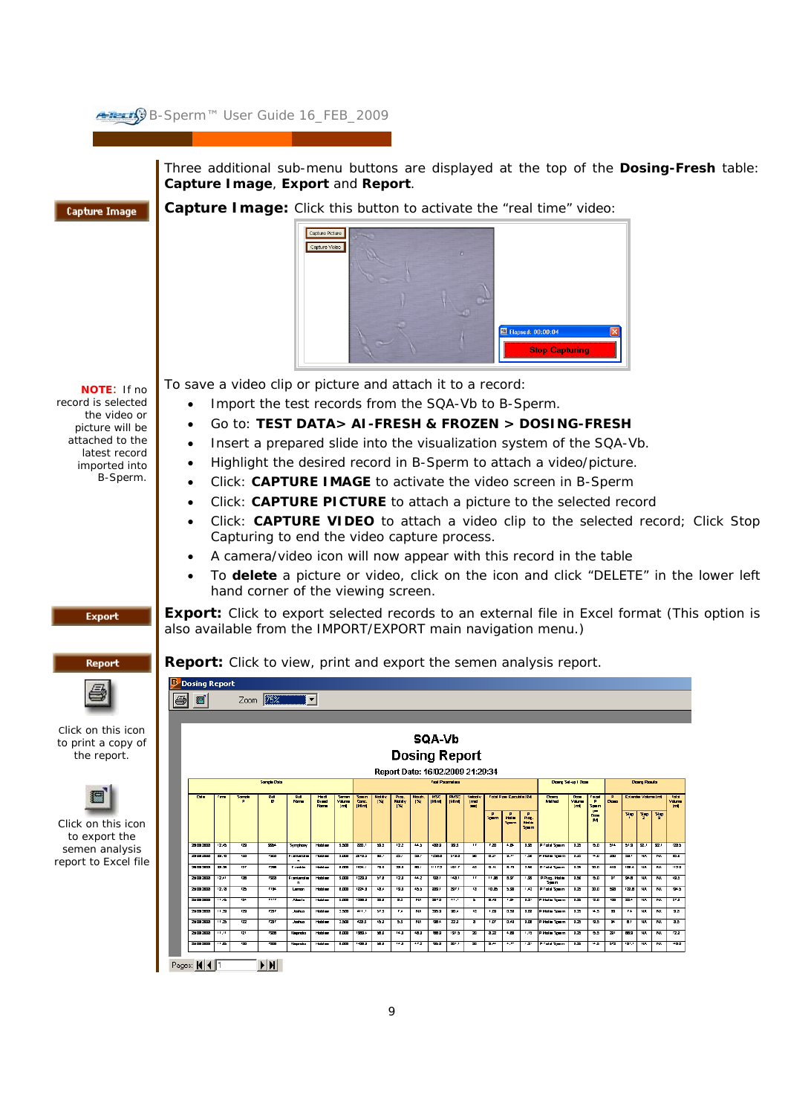